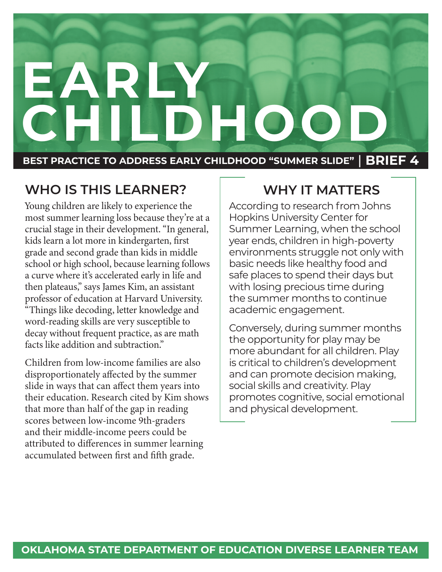# **EARLY CHILDHOOD BEST PRACTICE TO ADDRESS EARLY CHILDHOOD "SUMMER SLIDE"** | **BRIEF 4**

#### **WHO IS THIS LEARNER?**

Young children are likely to experience the most summer learning loss because they're at a crucial stage in their development. "In general, kids learn a lot more in kindergarten, first grade and second grade than kids in middle school or high school, because learning follows a curve where it's accelerated early in life and then plateaus," says James Kim, an assistant professor of education at Harvard University. "Things like decoding, letter knowledge and word-reading skills are very susceptible to decay without frequent practice, as are math facts like addition and subtraction."

Children from low-income families are also disproportionately affected by the summer slide in ways that can affect them years into their education. Research cited by Kim shows that more than half of the gap in reading scores between low-income 9th-graders and their middle-income peers could be attributed to differences in summer learning accumulated between first and fifth grade.

#### **WHY IT MATTERS**

According to research from Johns Hopkins University Center for Summer Learning, when the school year ends, children in high-poverty environments struggle not only with basic needs like healthy food and safe places to spend their days but with losing precious time during the summer months to continue academic engagement.

Conversely, during summer months the opportunity for play may be more abundant for all children. Play is critical to children's development and can promote decision making, social skills and creativity. Play promotes cognitive, social emotional and physical development.